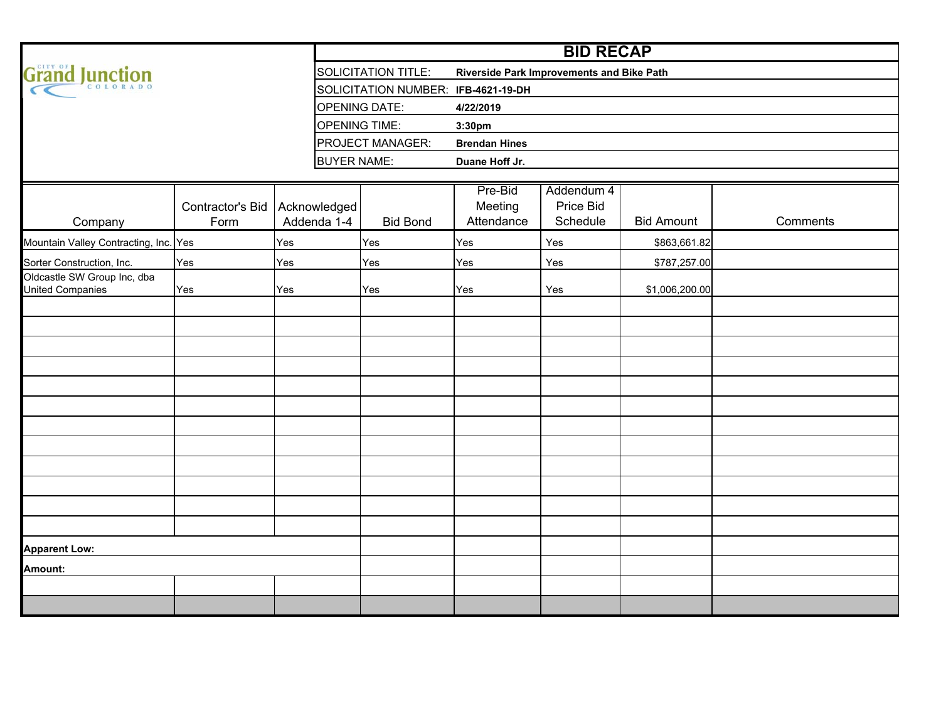|                                                          |                          |                             | <b>BID RECAP</b>                    |                                           |                                     |                   |          |  |  |  |  |  |  |  |  |  |
|----------------------------------------------------------|--------------------------|-----------------------------|-------------------------------------|-------------------------------------------|-------------------------------------|-------------------|----------|--|--|--|--|--|--|--|--|--|
| Grand Junction                                           |                          |                             | <b>SOLICITATION TITLE:</b>          | Riverside Park Improvements and Bike Path |                                     |                   |          |  |  |  |  |  |  |  |  |  |
|                                                          |                          |                             | SOLICITATION NUMBER: IFB-4621-19-DH |                                           |                                     |                   |          |  |  |  |  |  |  |  |  |  |
|                                                          |                          |                             | <b>OPENING DATE:</b>                | 4/22/2019                                 |                                     |                   |          |  |  |  |  |  |  |  |  |  |
|                                                          |                          |                             | <b>OPENING TIME:</b>                | 3:30pm                                    |                                     |                   |          |  |  |  |  |  |  |  |  |  |
|                                                          |                          |                             | PROJECT MANAGER:                    | <b>Brendan Hines</b>                      |                                     |                   |          |  |  |  |  |  |  |  |  |  |
|                                                          |                          | <b>BUYER NAME:</b>          |                                     | Duane Hoff Jr.                            |                                     |                   |          |  |  |  |  |  |  |  |  |  |
|                                                          |                          |                             |                                     |                                           |                                     |                   |          |  |  |  |  |  |  |  |  |  |
| Company                                                  | Contractor's Bid<br>Form | Acknowledged<br>Addenda 1-4 | <b>Bid Bond</b>                     | Pre-Bid<br>Meeting<br>Attendance          | Addendum 4<br>Price Bid<br>Schedule | <b>Bid Amount</b> | Comments |  |  |  |  |  |  |  |  |  |
|                                                          |                          |                             |                                     |                                           |                                     |                   |          |  |  |  |  |  |  |  |  |  |
| Mountain Valley Contracting, Inc. Yes                    |                          | Yes                         | Yes                                 | Yes                                       | Yes                                 | \$863,661.82      |          |  |  |  |  |  |  |  |  |  |
| Sorter Construction, Inc.<br>Oldcastle SW Group Inc, dba | Yes                      | Yes                         | Yes                                 | Yes                                       | Yes                                 | \$787,257.00      |          |  |  |  |  |  |  |  |  |  |
| <b>United Companies</b>                                  | Yes<br>Yes               |                             | Yes                                 | Yes                                       | Yes                                 | \$1,006,200.00    |          |  |  |  |  |  |  |  |  |  |
|                                                          |                          |                             |                                     |                                           |                                     |                   |          |  |  |  |  |  |  |  |  |  |
|                                                          |                          |                             |                                     |                                           |                                     |                   |          |  |  |  |  |  |  |  |  |  |
|                                                          |                          |                             |                                     |                                           |                                     |                   |          |  |  |  |  |  |  |  |  |  |
|                                                          |                          |                             |                                     |                                           |                                     |                   |          |  |  |  |  |  |  |  |  |  |
|                                                          |                          |                             |                                     |                                           |                                     |                   |          |  |  |  |  |  |  |  |  |  |
|                                                          |                          |                             |                                     |                                           |                                     |                   |          |  |  |  |  |  |  |  |  |  |
|                                                          |                          |                             |                                     |                                           |                                     |                   |          |  |  |  |  |  |  |  |  |  |
|                                                          |                          |                             |                                     |                                           |                                     |                   |          |  |  |  |  |  |  |  |  |  |
|                                                          |                          |                             |                                     |                                           |                                     |                   |          |  |  |  |  |  |  |  |  |  |
|                                                          |                          |                             |                                     |                                           |                                     |                   |          |  |  |  |  |  |  |  |  |  |
|                                                          |                          |                             |                                     |                                           |                                     |                   |          |  |  |  |  |  |  |  |  |  |
|                                                          |                          |                             |                                     |                                           |                                     |                   |          |  |  |  |  |  |  |  |  |  |
| <b>Apparent Low:</b>                                     |                          |                             |                                     |                                           |                                     |                   |          |  |  |  |  |  |  |  |  |  |
| Amount:                                                  |                          |                             |                                     |                                           |                                     |                   |          |  |  |  |  |  |  |  |  |  |
|                                                          |                          |                             |                                     |                                           |                                     |                   |          |  |  |  |  |  |  |  |  |  |
|                                                          |                          |                             |                                     |                                           |                                     |                   |          |  |  |  |  |  |  |  |  |  |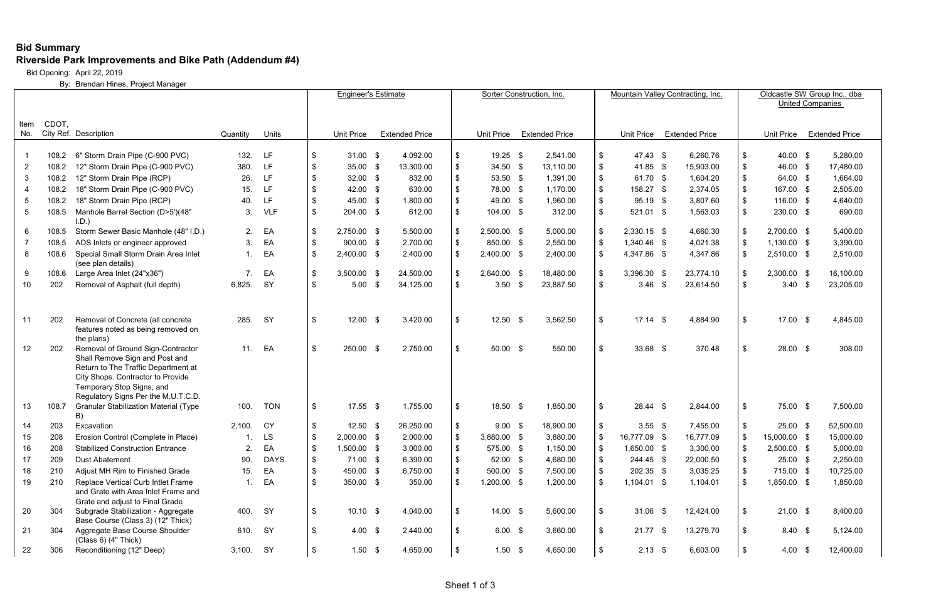## **Bid Summary Riverside Park Improvements and Bike Path (Addendum #4)**

Bid Opening: April 22, 2019

By: Brendan Hines, Project Manager

|                 |       |                                                                                                                                                                                                                     |           |             |     | <b>Engineer's Estimate</b> |               |                       | Sorter Construction, Inc. |                   |  |                       |               | Mountain Valley Contracting, Inc. |     |                       |                           | Oldcastle SW Group Inc., dba<br><b>United Companies</b> |  |                       |  |  |  |
|-----------------|-------|---------------------------------------------------------------------------------------------------------------------------------------------------------------------------------------------------------------------|-----------|-------------|-----|----------------------------|---------------|-----------------------|---------------------------|-------------------|--|-----------------------|---------------|-----------------------------------|-----|-----------------------|---------------------------|---------------------------------------------------------|--|-----------------------|--|--|--|
|                 |       |                                                                                                                                                                                                                     |           |             |     |                            |               |                       |                           |                   |  |                       |               |                                   |     |                       |                           |                                                         |  |                       |  |  |  |
| Item<br>No.     | CDOT, | City Ref. Description                                                                                                                                                                                               |           |             |     |                            |               |                       |                           | <b>Unit Price</b> |  |                       |               |                                   |     |                       |                           | Unit Price                                              |  |                       |  |  |  |
|                 |       |                                                                                                                                                                                                                     | Quantity  | Units       |     | Unit Price                 |               | <b>Extended Price</b> |                           |                   |  | <b>Extended Price</b> |               | Unit Price                        |     | <b>Extended Price</b> |                           |                                                         |  | <b>Extended Price</b> |  |  |  |
|                 | 108.2 | 6" Storm Drain Pipe (C-900 PVC)                                                                                                                                                                                     | 132.      | LF.         | \$  | 31.00                      | - \$          | 4,092.00              | \$                        | 19.25 \$          |  | 2,541.00              | \$            | 47.43 \$                          |     | 6,260.76              | \$                        | 40.00 \$                                                |  | 5,280.00              |  |  |  |
| -2              | 108.2 | 12" Storm Drain Pipe (C-900 PVC)                                                                                                                                                                                    | 380.      | LF.         |     | 35.00                      | - \$          | 13,300.00             | \$                        | $34.50$ \$        |  | 13,110.00             | \$            | 41.85 \$                          |     | 15,903.00             | \$                        | 46.00 \$                                                |  | 17,480.00             |  |  |  |
| 3               | 108.2 | 12" Storm Drain Pipe (RCP)                                                                                                                                                                                          | 26.       | LF.         |     | 32.00                      | - \$          | 832.00                | \$                        | 53.50 \$          |  | 1,391.00              | \$            | 61.70 \$                          |     | 1,604.20              | \$                        | 64.00 \$                                                |  | 1,664.00              |  |  |  |
|                 | 108.2 | 18" Storm Drain Pipe (C-900 PVC)                                                                                                                                                                                    | 15.       | LF          |     | 42.00 \$                   |               | 630.00                | \$                        | 78.00 \$          |  | 1,170.00              | \$            | 158.27 \$                         |     | 2,374.05              | \$                        | 167.00 \$                                               |  | 2,505.00              |  |  |  |
| 5               | 108.2 | 18" Storm Drain Pipe (RCP)                                                                                                                                                                                          | 40.       | LF.         |     | 45.00                      | - \$          | 1,800.00              | \$                        | 49.00 \$          |  | 1,960.00              | \$            | 95.19 \$                          |     | 3,807.60              | \$                        | 116.00 \$                                               |  | 4,640.00              |  |  |  |
| 5               | 108.5 | Manhole Barrel Section (D>5')(48"<br>I.D.                                                                                                                                                                           | 3.        | <b>VLF</b>  |     | 204.00 \$                  |               | 612.00                | \$                        | 104.00 \$         |  | 312.00                | \$            | 521.01 \$                         |     | 1,563.03              | \$                        | 230.00 \$                                               |  | 690.00                |  |  |  |
| 6               | 108.5 | Storm Sewer Basic Manhole (48" I.D.)                                                                                                                                                                                | 2.        | EA          |     | 2,750.00 \$                |               | 5,500.00              | \$                        | 2,500.00 \$       |  | 5,000.00              | -\$           | $2,330.15$ \$                     |     | 4,660.30              | \$                        | 2,700.00 \$                                             |  | 5,400.00              |  |  |  |
|                 | 108.5 | ADS Inlets or engineer approved                                                                                                                                                                                     | 3.        | EA          | -\$ | 900.00 \$                  |               | 2,700.00              | $\frac{1}{2}$             | 850.00 \$         |  | 2,550.00              | \$            | 1,340.46 \$                       |     | 4,021.38              | \$                        | 1,130.00 \$                                             |  | 3,390.00              |  |  |  |
| 8               | 108.6 | Special Small Storm Drain Area Inlet<br>(see plan details)                                                                                                                                                          | 1.        | EA          |     | 2,400.00 \$                |               | 2,400.00              | \$                        | 2,400.00 \$       |  | 2,400.00              | \$            | 4,347.86 \$                       |     | 4,347.86              | \$                        | 2,510.00 \$                                             |  | 2,510.00              |  |  |  |
|                 |       | 108.6 Large Area Inlet (24"x36")                                                                                                                                                                                    |           | EA          | \$  | 3,500.00 \$                |               | 24,500.00             | $\boldsymbol{\mathsf{S}}$ | 2,640.00 \$       |  | 18,480.00             | \$            | 3,396.30 \$                       |     | 23,774.10             | \$                        | 2,300.00 \$                                             |  | 16,100.00             |  |  |  |
| 10 <sup>°</sup> | 202   | Removal of Asphalt (full depth)                                                                                                                                                                                     | 6,825.    | SY          | \$  | 5.00                       | - \$          | 34,125.00             | $\mathfrak{S}$            | $3.50$ \$         |  | 23,887.50             | $\sqrt[6]{3}$ | $3.46$ \$                         |     | 23,614.50             | \$                        | $3.40$ \$                                               |  | 23,205.00             |  |  |  |
| -11             | 202   | Removal of Concrete (all concrete                                                                                                                                                                                   | 285.      | SY          | \$  | 12.00                      | $\sqrt[6]{3}$ | 3,420.00              | \$                        | $12.50$ \$        |  | 3,562.50              | \$            | 17.14                             | \$  | 4,884.90              | \$                        | $17.00$ \$                                              |  | 4,845.00              |  |  |  |
|                 |       | features noted as being removed on<br>the plans)                                                                                                                                                                    |           |             |     |                            |               |                       |                           |                   |  |                       |               |                                   |     |                       |                           |                                                         |  |                       |  |  |  |
| 12              | 202   | Removal of Ground Sign-Contractor<br>Shall Remove Sign and Post and<br>Return to The Traffic Department at<br>City Shops. Contractor to Provide<br>Temporary Stop Signs, and<br>Regulatory Signs Per the M.U.T.C.D. | 11.       | EA          | \$  | 250.00 \$                  |               | 2,750.00              | \$                        | $50.00$ \$        |  | 550.00                | \$            | $33.68$ \$                        |     | 370.48                | $\boldsymbol{\mathsf{S}}$ | 28.00 \$                                                |  | 308.00                |  |  |  |
| 13              | 108.7 | <b>Granular Stabilization Material (Type</b><br>B)                                                                                                                                                                  | 100.      | <b>TON</b>  | \$  | $17.55$ \$                 |               | 1,755.00              | \$                        | $18.50$ \$        |  | 1,850.00              | -\$           | $28.44$ \$                        |     | 2,844.00              | \$                        | 75.00 \$                                                |  | 7,500.00              |  |  |  |
| 14              | 203   | Excavation                                                                                                                                                                                                          | 2,100.    | CY          | \$  | 12.50                      | \$            | 26,250.00             | \$                        | $9.00$ \$         |  | 18,900.00             | -\$           | 3.55                              | -\$ | 7,455.00              | \$                        | 25.00 \$                                                |  | 52,500.00             |  |  |  |
| 15              | 208   | Erosion Control (Complete in Place)                                                                                                                                                                                 |           | <b>LS</b>   |     | 2,000.00 \$                |               | 2,000.00              | \$                        | 3,880.00 \$       |  | 3,880.00              | - \$          | 16,777.09 \$                      |     | 16,777.09             | \$                        | 15,000.00 \$                                            |  | 15,000.00             |  |  |  |
| 16              | 208   | <b>Stabilized Construction Entrance</b>                                                                                                                                                                             | 2.        | EA          |     | 1,500.00 \$                |               | 3,000.00              | $\mathfrak s$             | 575.00 \$         |  | 1,150.00              | - \$          | 1,650.00 \$                       |     | 3,300.00              | \$                        | 2,500.00 \$                                             |  | 5,000.00              |  |  |  |
| 17              | 209   | <b>Dust Abatement</b>                                                                                                                                                                                               | 90.       | <b>DAYS</b> | -\$ | $71.00$ \$                 |               | 6,390.00              | \$                        | 52.00 \$          |  | 4,680.00              | -\$           | 244.45 \$                         |     | 22,000.50             | \$                        | $25.00$ \$                                              |  | 2,250.00              |  |  |  |
| 18              | 210   | Adjust MH Rim to Finished Grade                                                                                                                                                                                     | 15.       | EA          | -S  | 450.00 \$                  |               | 6,750.00              | \$                        | 500.00 \$         |  | 7,500.00              |               | 202.35 \$                         |     | 3,035.25              | \$                        | 715.00 \$                                               |  | 10,725.00             |  |  |  |
| 19              | 210   | Replace Vertical Curb Intlet Frame<br>and Grate with Area Inlet Frame and<br>Grate and adjust to Final Grade                                                                                                        | 1.        | EA          | \$  | 350.00 \$                  |               | 350.00                | $\sqrt[6]{2}$             | 1,200.00 \$       |  | 1,200.00              | \$            | $1,104.01$ \$                     |     | 1,104.01              | \$                        | 1,850.00 \$                                             |  | 1,850.00              |  |  |  |
| 20              | 304   | Subgrade Stabilization - Aggregate<br>Base Course (Class 3) (12" Thick)                                                                                                                                             | 400.      | SY          | \$  | $10.10$ \$                 |               | 4,040.00              | $\sqrt[6]{2}$             | $14.00$ \$        |  | 5,600.00              | -\$           | $31.06$ \$                        |     | 12,424.00             | \$                        | $21.00$ \$                                              |  | 8,400.00              |  |  |  |
| 21              | 304   | Aggregate Base Course Shoulder<br>(Class 6) (4" Thick)                                                                                                                                                              | 610.      | SY          | \$  | 4.00 $$$                   |               | 2,440.00              | \$                        | $6.00\quad$ \$    |  | 3,660.00              | \$            | $21.77$ \$                        |     | 13,279.70             | \$                        | $8.40\degree$                                           |  | 5,124.00              |  |  |  |
| 22              | 306   | Reconditioning (12" Deep)                                                                                                                                                                                           | 3,100. SY |             | \$  | $1.50$ \$                  |               | 4,650.00              | \$                        | $1.50$ \$         |  | 4,650.00              |               | $2.13$ \$                         |     | 6,603.00              | -\$                       | 4.00 \$                                                 |  | 12,400.00             |  |  |  |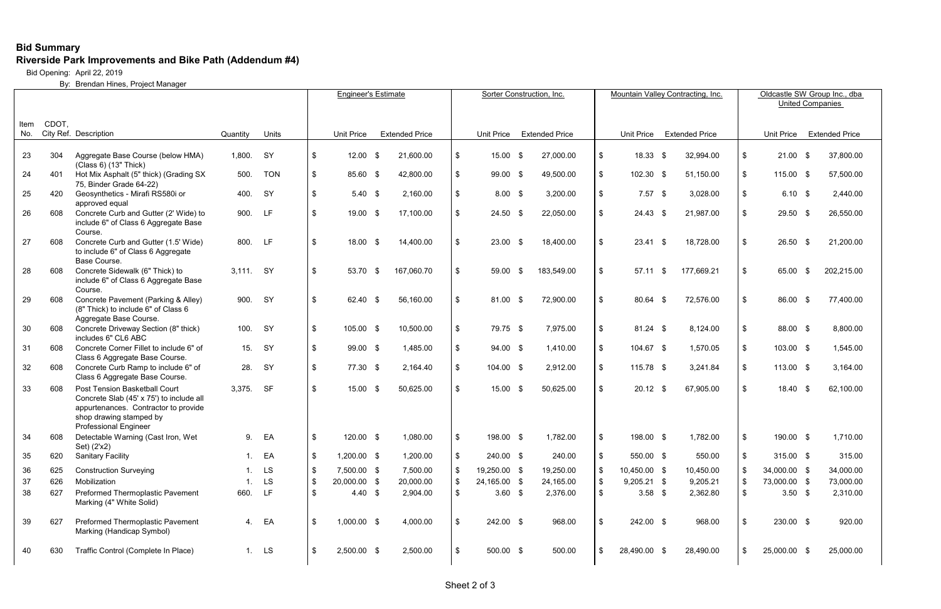## **Bid Summary Riverside Park Improvements and Bike Path (Addendum #4)**

Bid Opening: April 22, 2019

By: Brendan Hines, Project Manager

|             |       |                                                                                                                                                                              | <b>Engineer's Estimate</b> |            |                           | Sorter Construction, Inc. |  |                       |                            |                   |      |                       | Mountain Valley Contracting, Inc. | Oldcastle SW Group Inc., dba<br><b>United Companies</b> |      |                       |     |              |      |                       |
|-------------|-------|------------------------------------------------------------------------------------------------------------------------------------------------------------------------------|----------------------------|------------|---------------------------|---------------------------|--|-----------------------|----------------------------|-------------------|------|-----------------------|-----------------------------------|---------------------------------------------------------|------|-----------------------|-----|--------------|------|-----------------------|
|             |       |                                                                                                                                                                              |                            |            |                           |                           |  |                       |                            |                   |      |                       |                                   |                                                         |      |                       |     |              |      |                       |
| Item<br>No. | CDOT, | City Ref. Description                                                                                                                                                        | Quantity                   | Units      |                           | <b>Unit Price</b>         |  | <b>Extended Price</b> |                            | <b>Unit Price</b> |      | <b>Extended Price</b> |                                   | Unit Price                                              |      | <b>Extended Price</b> |     | Unit Price   |      | <b>Extended Price</b> |
| 23          | 304   | Aggregate Base Course (below HMA)<br>(Class 6) (13" Thick)                                                                                                                   | 1,800.                     | <b>SY</b>  | \$                        | $12.00$ \$                |  | 21,600.00             | $\boldsymbol{\mathcal{S}}$ | $15.00$ \$        |      | 27,000.00             | \$                                | 18.33                                                   | - \$ | 32,994.00             | \$  | $21.00$ \$   |      | 37,800.00             |
| 24          | 401   | Hot Mix Asphalt (5" thick) (Grading SX<br>75, Binder Grade 64-22)                                                                                                            | 500.                       | <b>TON</b> | \$                        | 85.60 \$                  |  | 42,800.00             | $\mathbf{\$}$              | 99.00 \$          |      | 49,500.00             | $\mathfrak{S}$                    | 102.30 \$                                               |      | 51,150.00             | \$  | 115.00 \$    |      | 57,500.00             |
| 25          | 420   | Geosynthetics - Mirafi RS580i or<br>approved equal                                                                                                                           | 400.                       | SY         | $\boldsymbol{\mathsf{S}}$ | $5.40$ \$                 |  | 2,160.00              | \$                         | $8.00$ \$         |      | 3,200.00              |                                   | $7.57$ \$                                               |      | 3,028.00              | \$  | $6.10$ \$    |      | 2,440.00              |
| 26          | 608   | Concrete Curb and Gutter (2' Wide) to<br>include 6" of Class 6 Aggregate Base<br>Course.                                                                                     | 900.                       | LF         | $\mathfrak{S}$            | 19.00 \$                  |  | 17,100.00             | \$                         | $24.50$ \$        |      | 22,050.00             | \$                                | $24.43$ \$                                              |      | 21,987.00             | \$  | $29.50$ \$   |      | 26,550.00             |
| 27          | 608   | Concrete Curb and Gutter (1.5' Wide)<br>to include 6" of Class 6 Aggregate<br>Base Course.                                                                                   | 800.                       | LF         | \$                        | $18.00$ \$                |  | 14,400.00             | \$                         | $23.00$ \$        |      | 18,400.00             | \$                                | 23.41                                                   | - \$ | 18,728.00             | \$  | $26.50$ \$   |      | 21,200.00             |
| 28          | 608   | Concrete Sidewalk (6" Thick) to<br>include 6" of Class 6 Aggregate Base<br>Course.                                                                                           | 3,111. SY                  |            | \$                        | 53.70 \$                  |  | 167,060.70            | $\sqrt[6]{2}$              | 59.00             | - \$ | 183,549.00            | \$                                | 57.11                                                   | - \$ | 177,669.21            | \$  | 65.00        | - \$ | 202,215.00            |
| 29          | 608   | Concrete Pavement (Parking & Alley)<br>(8" Thick) to include 6" of Class 6<br>Aggregate Base Course.                                                                         | 900.                       | SY         | \$                        | 62.40 \$                  |  | 56,160.00             | \$                         | 81.00 \$          |      | 72,900.00             | \$                                | 80.64 \$                                                |      | 72,576.00             | \$  | 86.00 \$     |      | 77,400.00             |
| 30          | 608   | Concrete Driveway Section (8" thick)<br>includes 6" CL6 ABC                                                                                                                  | 100.                       | SY         | \$                        | 105.00 \$                 |  | 10,500.00             | $\boldsymbol{\mathcal{S}}$ | 79.75 \$          |      | 7,975.00              | \$                                | 81.24 \$                                                |      | 8,124.00              | \$  | 88.00 \$     |      | 8,800.00              |
| 31          | 608   | Concrete Corner Fillet to include 6" of<br>Class 6 Aggregate Base Course.                                                                                                    | 15.                        | SY         | \$                        | 99.00 \$                  |  | 1,485.00              | \$                         | 94.00 \$          |      | 1,410.00              | \$                                | 104.67 \$                                               |      | 1,570.05              | \$  | 103.00 \$    |      | 1,545.00              |
| 32          | 608   | Concrete Curb Ramp to include 6" of<br>Class 6 Aggregate Base Course.                                                                                                        | 28.                        | <b>SY</b>  | $\boldsymbol{\mathsf{S}}$ | 77.30 \$                  |  | 2,164.40              | \$                         | 104.00 \$         |      | 2,912.00              | $$^{\circ}$                       | 115.78 \$                                               |      | 3,241.84              | \$  | 113.00 \$    |      | 3,164.00              |
| 33          | 608   | Post Tension Basketball Court<br>Concrete Slab (45' x 75') to include all<br>appurtenances. Contractor to provide<br>shop drawing stamped by<br><b>Professional Engineer</b> | 3,375.                     | <b>SF</b>  | $\boldsymbol{\mathsf{S}}$ | $15.00$ \$                |  | 50,625.00             | \$                         | $15.00$ \$        |      | 50,625.00             | \$                                | $20.12$ \$                                              |      | 67,905.00             | -\$ | $18.40$ \$   |      | 62,100.00             |
| 34          | 608   | Detectable Warning (Cast Iron, Wet<br>Set) (2'x2)                                                                                                                            | 9.                         | EA         | \$                        | 120.00 \$                 |  | 1,080.00              | \$                         | 198.00 \$         |      | 1,782.00              | \$                                | 198.00 \$                                               |      | 1,782.00              | -\$ | 190.00 \$    |      | 1,710.00              |
| 35          | 620   | <b>Sanitary Facility</b>                                                                                                                                                     |                            | EA         | \$                        | $1,200.00$ \$             |  | 1,200.00              | -\$                        | 240.00 \$         |      | 240.00                |                                   | 550.00 \$                                               |      | 550.00                | -\$ | 315.00 \$    |      | 315.00                |
| 36          | 625   | <b>Construction Surveying</b>                                                                                                                                                |                            | LS         | \$                        | 7,500.00 \$               |  | 7,500.00              | -\$                        | 19,250.00 \$      |      | 19,250.00             |                                   | 10,450.00 \$                                            |      | 10,450.00             |     | 34,000.00 \$ |      | 34,000.00             |
| 37          | 626   | Mobilization                                                                                                                                                                 |                            | LS         | \$                        | 20,000.00 \$              |  | 20,000.00             | \$                         | 24,165.00 \$      |      | 24,165.00             |                                   | $9,205.21$ \$                                           |      | 9,205.21              | \$  | 73,000.00 \$ |      | 73,000.00             |
| 38          | 627   | Preformed Thermoplastic Pavement<br>Marking (4" White Solid)                                                                                                                 | 660.                       | <b>LF</b>  | \$                        | 4.40 $\frac{1}{2}$        |  | 2,904.00              | -\$                        | $3.60$ \$         |      | 2,376.00              |                                   | $3.58$ \$                                               |      | 2,362.80              | \$  | $3.50$ \$    |      | 2,310.00              |
| 39          | 627   | Preformed Thermoplastic Pavement<br>Marking (Handicap Symbol)                                                                                                                | 4.                         | EA         | \$                        | 1,000.00 \$               |  | 4,000.00              | \$                         | 242.00 \$         |      | 968.00                | \$                                | 242.00 \$                                               |      | 968.00                | \$  | 230.00 \$    |      | 920.00                |
| 40          | 630   | Traffic Control (Complete In Place)                                                                                                                                          |                            | 1. LS      | \$                        | $2,500.00$ \$             |  | 2,500.00              | \$                         | 500.00 \$         |      | 500.00                | \$                                | 28,490.00 \$                                            |      | 28,490.00             | \$  | 25,000.00 \$ |      | 25,000.00             |